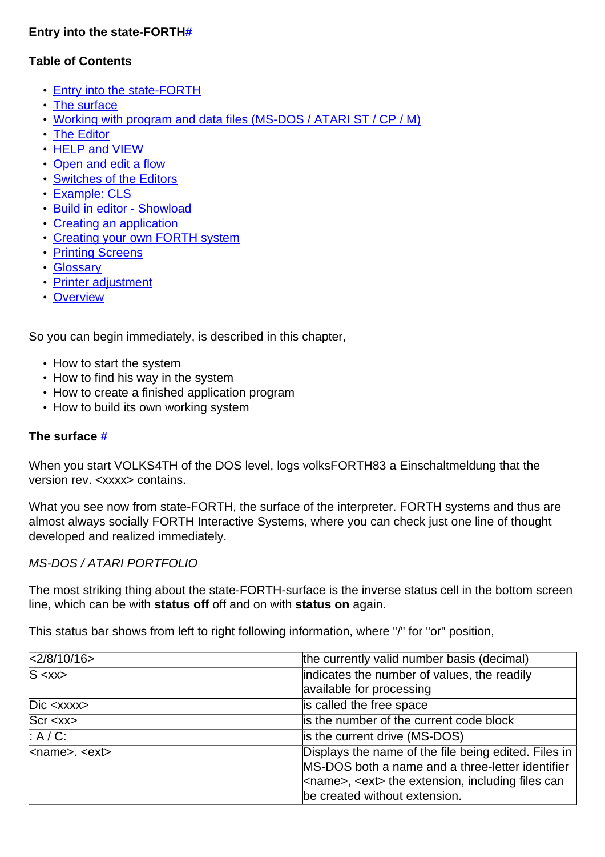## **Entry into the state-FORT[H#](http://[fd00::119]:8080/wiki/#section-VFHandbookChapter2-EntryIntoTheStateFORTH)**

### **Table of Contents**

- [Entry into the state-FORTH](http://[fd00::119]:8080/wiki/#section-VFHandbookChapter2-EntryIntoTheStateFORTH)
- [The surface](http://[fd00::119]:8080/wiki/#section-VFHandbookChapter2-TheSurface)
- [Working with program and data files \(MS-DOS / ATARI ST / CP / M\)](http://[fd00::119]:8080/wiki/#section-VFHandbookChapter2-WorkingWithProgramAndDataFilesMSDOSATARISTCPM)
- [The Editor](http://[fd00::119]:8080/wiki/#section-VFHandbookChapter2-TheEditor)
- [HELP and VIEW](http://[fd00::119]:8080/wiki/#section-VFHandbookChapter2-HELPAndVIEW)
- [Open and edit a flow](http://[fd00::119]:8080/wiki/#section-VFHandbookChapter2-OpenAndEditAFlow)
- [Switches of the Editors](http://[fd00::119]:8080/wiki/#section-VFHandbookChapter2-SwitchesOfTheEditors)
- [Example: CLS](http://[fd00::119]:8080/wiki/#section-VFHandbookChapter2-ExampleCLS)
- [Build in editor Showload](http://[fd00::119]:8080/wiki/#section-VFHandbookChapter2-BuildInEditorShowload)
- [Creating an application](http://[fd00::119]:8080/wiki/#section-VFHandbookChapter2-CreatingAnApplication)
- [Creating your own FORTH system](http://[fd00::119]:8080/wiki/#section-VFHandbookChapter2-CreatingYourOwnFORTHSystem)
- [Printing Screens](http://[fd00::119]:8080/wiki/#section-VFHandbookChapter2-PrintingScreens)
- [Glossary](http://[fd00::119]:8080/wiki/#section-VFHandbookChapter2-Glossary)
- [Printer adjustment](http://[fd00::119]:8080/wiki/#section-VFHandbookChapter2-PrinterAdjustment)
- [Overview](http://[fd00::119]:8080/wiki/#section-VFHandbookChapter2-Overview)

So you can begin immediately, is described in this chapter,

- How to start the system
- How to find his way in the system
- How to create a finished application program
- How to build its own working system

### **The surface [#](http://[fd00::119]:8080/wiki/#section-VFHandbookChapter2-TheSurface)**

When you start VOLKS4TH of the DOS level, logs volksFORTH83 a Einschaltmeldung that the version rev. <xxxx> contains.

What you see now from state-FORTH, the surface of the interpreter. FORTH systems and thus are almost always socially FORTH Interactive Systems, where you can check just one line of thought developed and realized immediately.

#### MS-DOS / ATARI PORTFOLIO

The most striking thing about the state-FORTH-surface is the inverse status cell in the bottom screen line, which can be with **status off** off and on with **status on** again.

This status bar shows from left to right following information, where "/" for "or" position,

| $ <\frac{2}{8}/10/16>$                     | the currently valid number basis (decimal)                                                                                                                                                    |
|--------------------------------------------|-----------------------------------------------------------------------------------------------------------------------------------------------------------------------------------------------|
| $S < x \times >$                           | indicates the number of values, the readily                                                                                                                                                   |
|                                            | available for processing                                                                                                                                                                      |
| $\overline{D}$ ic $\langle$ xxxx $\rangle$ | is called the free space                                                                                                                                                                      |
| Scr  < x x >                               | is the number of the current code block                                                                                                                                                       |
| $\mathsf{A}/\mathsf{C}$ :                  | is the current drive (MS-DOS)                                                                                                                                                                 |
| $\leq$ name>. $\leq$ ext>                  | Displays the name of the file being edited. Files in<br>MS-DOS both a name and a three-letter identifier<br>kname>, kext> the extension, including files can<br>be created without extension. |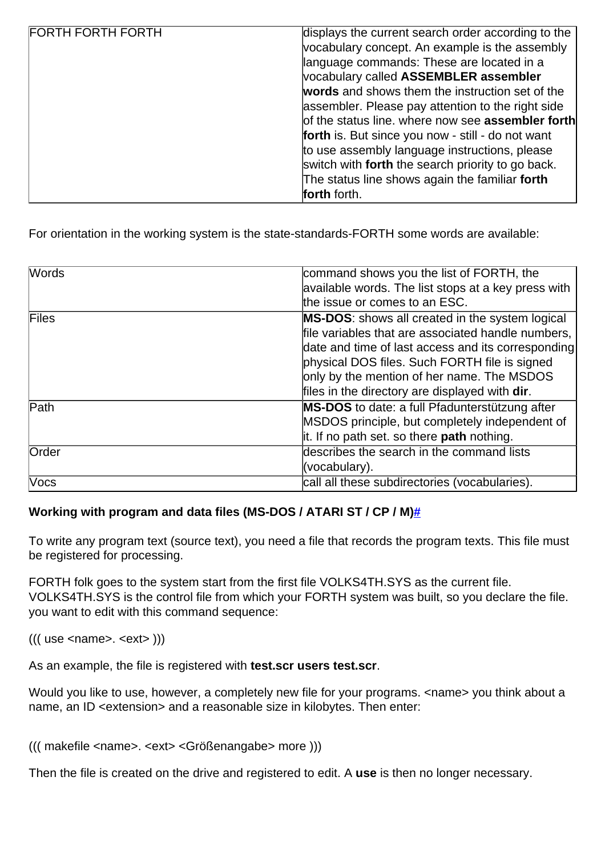| <b>FORTH FORTH FORTH</b> | displays the current search order according to the |
|--------------------------|----------------------------------------------------|
|                          | vocabulary concept. An example is the assembly     |
|                          | language commands: These are located in a          |
|                          | vocabulary called ASSEMBLER assembler              |
|                          | words and shows them the instruction set of the    |
|                          | assembler. Please pay attention to the right side  |
|                          | of the status line. where now see assembler forth  |
|                          | forth is. But since you now - still - do not want  |
|                          | to use assembly language instructions, please      |
|                          | switch with forth the search priority to go back.  |
|                          | The status line shows again the familiar forth     |
|                          | forth forth.                                       |

For orientation in the working system is the state-standards-FORTH some words are available:

| <b>Words</b> | command shows you the list of FORTH, the               |
|--------------|--------------------------------------------------------|
|              | available words. The list stops at a key press with    |
|              | the issue or comes to an ESC.                          |
| Files        | MS-DOS: shows all created in the system logical        |
|              | file variables that are associated handle numbers,     |
|              | date and time of last access and its corresponding     |
|              | physical DOS files. Such FORTH file is signed          |
|              | only by the mention of her name. The MSDOS             |
|              | files in the directory are displayed with <b>dir</b> . |
| Path         | MS-DOS to date: a full Pfadunterstützung after         |
|              | MSDOS principle, but completely independent of         |
|              | it. If no path set. so there <b>path</b> nothing.      |
| Order        | describes the search in the command lists              |
|              | (vocabulary).                                          |
| $V$ ocs      | call all these subdirectories (vocabularies).          |

### **Working with program and data files (MS-DOS / ATARI ST / CP / M[\)#](http://[fd00::119]:8080/wiki/#section-VFHandbookChapter2-WorkingWithProgramAndDataFilesMSDOSATARISTCPM)**

To write any program text (source text), you need a file that records the program texts. This file must be registered for processing.

FORTH folk goes to the system start from the first file VOLKS4TH.SYS as the current file. VOLKS4TH.SYS is the control file from which your FORTH system was built, so you declare the file. you want to edit with this command sequence:

 $((( use < name> - \text{ext}>)))$ 

As an example, the file is registered with **test.scr users test.scr**.

Would you like to use, however, a completely new file for your programs. <name> you think about a name, an ID <extension> and a reasonable size in kilobytes. Then enter:

((( makefile <name>. <ext> <Größenangabe> more )))

Then the file is created on the drive and registered to edit. A **use** is then no longer necessary.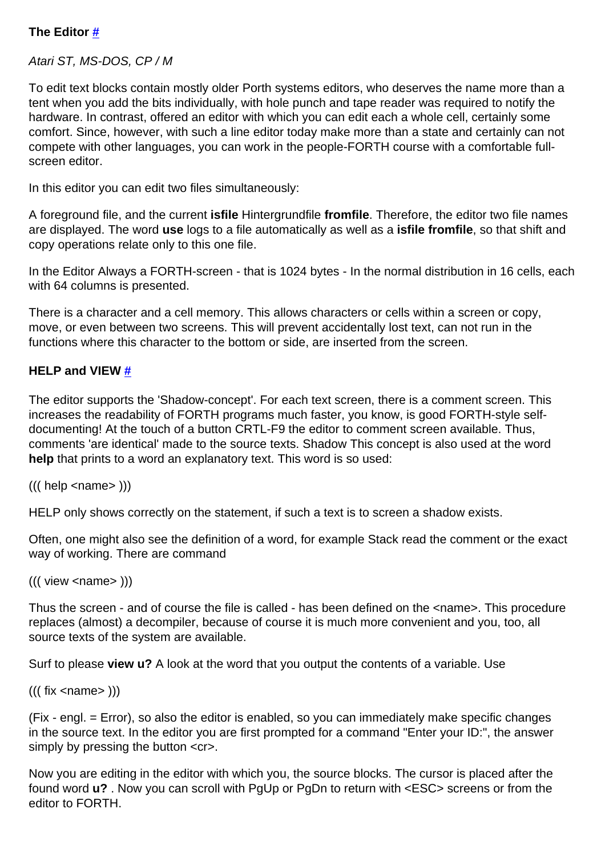### **The Editor [#](http://[fd00::119]:8080/wiki/#section-VFHandbookChapter2-TheEditor)**

#### Atari ST, MS-DOS, CP / M

To edit text blocks contain mostly older Porth systems editors, who deserves the name more than a tent when you add the bits individually, with hole punch and tape reader was required to notify the hardware. In contrast, offered an editor with which you can edit each a whole cell, certainly some comfort. Since, however, with such a line editor today make more than a state and certainly can not compete with other languages, you can work in the people-FORTH course with a comfortable fullscreen editor.

In this editor you can edit two files simultaneously:

A foreground file, and the current **isfile** Hintergrundfile **fromfile**. Therefore, the editor two file names are displayed. The word **use** logs to a file automatically as well as a **isfile fromfile**, so that shift and copy operations relate only to this one file.

In the Editor Always a FORTH-screen - that is 1024 bytes - In the normal distribution in 16 cells, each with 64 columns is presented.

There is a character and a cell memory. This allows characters or cells within a screen or copy, move, or even between two screens. This will prevent accidentally lost text, can not run in the functions where this character to the bottom or side, are inserted from the screen.

#### **HELP and VIEW [#](http://[fd00::119]:8080/wiki/#section-VFHandbookChapter2-HELPAndVIEW)**

The editor supports the 'Shadow-concept'. For each text screen, there is a comment screen. This increases the readability of FORTH programs much faster, you know, is good FORTH-style selfdocumenting! At the touch of a button CRTL-F9 the editor to comment screen available. Thus, comments 'are identical' made to the source texts. Shadow This concept is also used at the word **help** that prints to a word an explanatory text. This word is so used:

```
(((\text{help} < \text{name}))
```
HELP only shows correctly on the statement, if such a text is to screen a shadow exists.

Often, one might also see the definition of a word, for example Stack read the comment or the exact way of working. There are command

 $((($  view <name> $))))$ 

Thus the screen - and of course the file is called - has been defined on the <name>. This procedure replaces (almost) a decompiler, because of course it is much more convenient and you, too, all source texts of the system are available.

Surf to please **view u?** A look at the word that you output the contents of a variable. Use

 $((($  fix <name> $)))$ 

(Fix - engl. = Error), so also the editor is enabled, so you can immediately make specific changes in the source text. In the editor you are first prompted for a command "Enter your ID:", the answer simply by pressing the button <cr>.

Now you are editing in the editor with which you, the source blocks. The cursor is placed after the found word **u?** . Now you can scroll with PgUp or PgDn to return with <ESC> screens or from the editor to FORTH.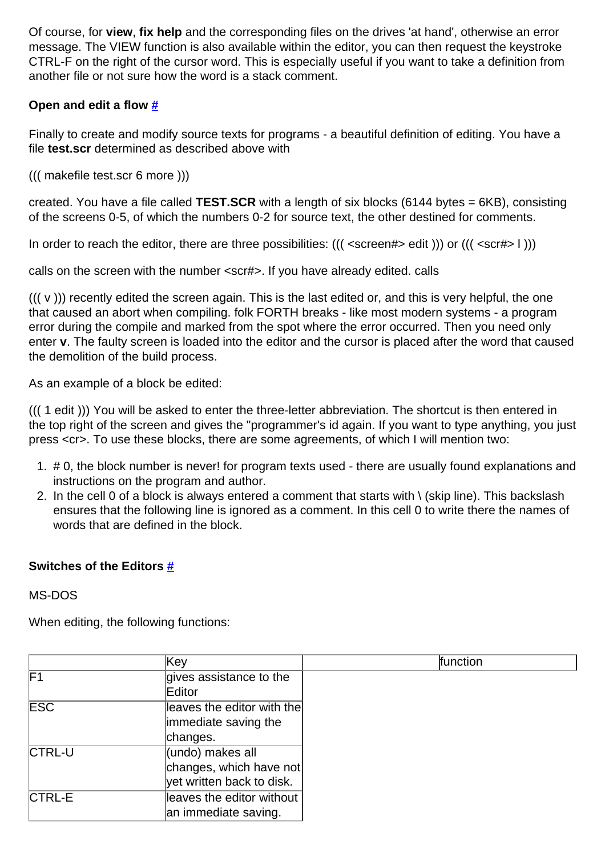Of course, for **view**, **fix help** and the corresponding files on the drives 'at hand', otherwise an error message. The VIEW function is also available within the editor, you can then request the keystroke CTRL-F on the right of the cursor word. This is especially useful if you want to take a definition from another file or not sure how the word is a stack comment.

## **Open and edit a flow [#](http://[fd00::119]:8080/wiki/#section-VFHandbookChapter2-OpenAndEditAFlow)**

Finally to create and modify source texts for programs - a beautiful definition of editing. You have a file **test.scr** determined as described above with

((( makefile test.scr 6 more )))

created. You have a file called **TEST.SCR** with a length of six blocks (6144 bytes = 6KB), consisting of the screens 0-5, of which the numbers 0-2 for source text, the other destined for comments.

In order to reach the editor, there are three possibilities:  $((\langle\text{screen}\# \rangle \text{ edit}))$  or  $((\langle\text{sort}\# \rangle \text{ !}))$ 

calls on the screen with the number <scr#>. If you have already edited. calls

 $((y))$  recently edited the screen again. This is the last edited or, and this is very helpful, the one that caused an abort when compiling. folk FORTH breaks - like most modern systems - a program error during the compile and marked from the spot where the error occurred. Then you need only enter **v**. The faulty screen is loaded into the editor and the cursor is placed after the word that caused the demolition of the build process.

As an example of a block be edited:

((( 1 edit ))) You will be asked to enter the three-letter abbreviation. The shortcut is then entered in the top right of the screen and gives the "programmer's id again. If you want to type anything, you just press <cr>. To use these blocks, there are some agreements, of which I will mention two:

- 1. # 0, the block number is never! for program texts used there are usually found explanations and instructions on the program and author.
- 2. In the cell 0 of a block is always entered a comment that starts with \ (skip line). This backslash ensures that the following line is ignored as a comment. In this cell 0 to write there the names of words that are defined in the block.

### **Switches of the Editors [#](http://[fd00::119]:8080/wiki/#section-VFHandbookChapter2-SwitchesOfTheEditors)**

### MS-DOS

When editing, the following functions:

|               | Key                        |  |
|---------------|----------------------------|--|
| F1            | gives assistance to the    |  |
|               | Editor                     |  |
| <b>ESC</b>    | leaves the editor with the |  |
|               | immediate saving the       |  |
|               | changes.                   |  |
| <b>CTRL-U</b> | (undo) makes all           |  |
|               | changes, which have not    |  |
|               | yet written back to disk.  |  |
| <b>CTRL-E</b> | leaves the editor without  |  |
|               | an immediate saving.       |  |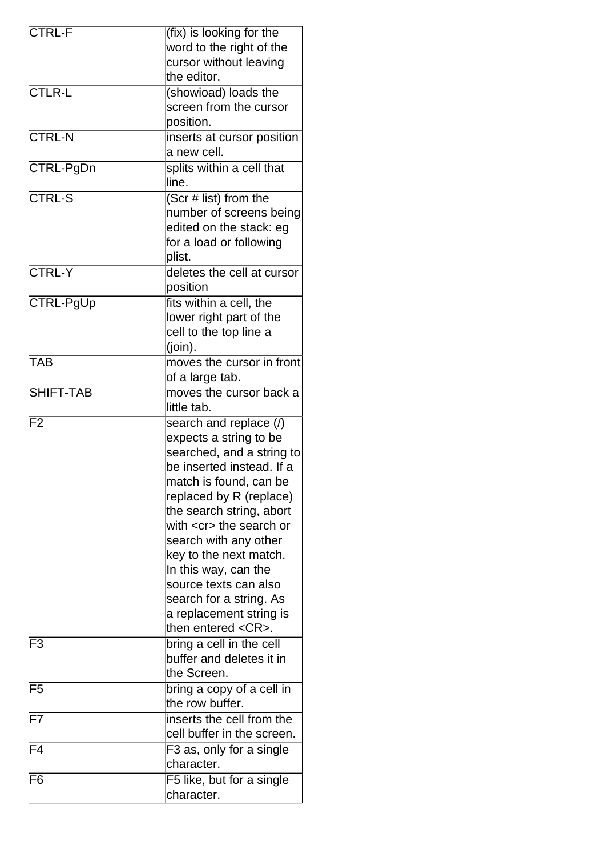| <b>CTRL-F</b>    | (fix) is looking for the<br>word to the right of the |
|------------------|------------------------------------------------------|
|                  | cursor without leaving<br>the editor.                |
| <b>CTLR-L</b>    | (showioad) loads the                                 |
|                  | screen from the cursor                               |
|                  | position.                                            |
| <b>CTRL-N</b>    | inserts at cursor position                           |
|                  | a new cell.                                          |
| CTRL-PgDn        | splits within a cell that                            |
|                  | lline.                                               |
| <b>CTRL-S</b>    | (Scr # list) from the                                |
|                  | number of screens being                              |
|                  | edited on the stack: eg                              |
|                  | for a load or following                              |
|                  | plist.                                               |
| <b>CTRL-Y</b>    | deletes the cell at cursor                           |
|                  | position                                             |
| <b>CTRL-PgUp</b> | fits within a cell, the                              |
|                  | lower right part of the                              |
|                  | cell to the top line a                               |
|                  | (join).                                              |
| <b>TAB</b>       | moves the cursor in front                            |
|                  | of a large tab.                                      |
| <b>SHIFT-TAB</b> | moves the cursor back a                              |
|                  | llittle tab.                                         |
| F2               | search and replace (/)                               |
|                  | expects a string to be                               |
|                  | searched, and a string to                            |
|                  | be inserted instead. If a                            |
|                  | match is found, can be                               |
|                  | replaced by R (replace)                              |
|                  | the search string, abort                             |
|                  | with <cr> the search or</cr>                         |
|                  | search with any other                                |
|                  | key to the next match.                               |
|                  | In this way, can the                                 |
|                  | source texts can also                                |
|                  | search for a string. As                              |
|                  | a replacement string is                              |
|                  | then entered <cr>.</cr>                              |
| F3               | bring a cell in the cell                             |
|                  | buffer and deletes it in                             |
|                  | the Screen.                                          |
| F5               | bring a copy of a cell in<br>the row buffer.         |
| F7               | inserts the cell from the                            |
|                  | cell buffer in the screen.                           |
| F4               | F3 as, only for a single                             |
|                  | character.                                           |
| F6               | F5 like, but for a single                            |
|                  | character.                                           |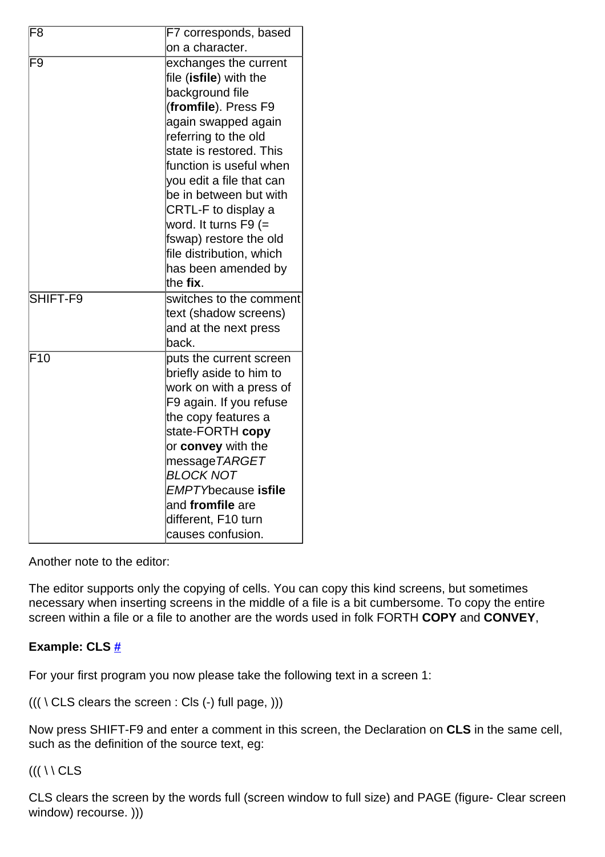| lF8                      | F7 corresponds, based      |
|--------------------------|----------------------------|
|                          | on a character.            |
| F9                       | exchanges the current      |
|                          | file (isfile) with the     |
|                          | background file            |
|                          | (fromfile). Press F9       |
|                          | again swapped again        |
|                          | referring to the old       |
|                          | state is restored. This    |
|                          | function is useful when    |
|                          | you edit a file that can   |
|                          | be in between but with     |
|                          | CRTL-F to display a        |
|                          | word. It turns F9 (=       |
|                          | fswap) restore the old     |
|                          | file distribution, which   |
|                          | has been amended by        |
|                          | the fix.                   |
| SHIFT-F9                 | switches to the comment    |
|                          | text (shadow screens)      |
|                          | and at the next press      |
|                          | back.                      |
| $\overline{\text{F}}$ 10 | puts the current screen    |
|                          | briefly aside to him to    |
|                          | work on with a press of    |
|                          | F9 again. If you refuse    |
|                          | the copy features a        |
|                          | state-FORTH copy           |
|                          | or <b>convey</b> with the  |
|                          | message <i>TARGET</i>      |
|                          | <b>BLOCK NOT</b>           |
|                          | <b>EMPTYbecause isfile</b> |
|                          | and fromfile are           |
|                          | different, F10 turn        |
|                          | causes confusion.          |

Another note to the editor:

The editor supports only the copying of cells. You can copy this kind screens, but sometimes necessary when inserting screens in the middle of a file is a bit cumbersome. To copy the entire screen within a file or a file to another are the words used in folk FORTH **COPY** and **CONVEY**,

# **Example: CLS [#](http://[fd00::119]:8080/wiki/#section-VFHandbookChapter2-ExampleCLS)**

For your first program you now please take the following text in a screen 1:

 $((( \ CLS \text{ class the screen} : CIs (-) \text{ full page}, )))$ 

Now press SHIFT-F9 and enter a comment in this screen, the Declaration on **CLS** in the same cell, such as the definition of the source text, eg:

# $((( \vee$ <sub>CLS</sub>

CLS clears the screen by the words full (screen window to full size) and PAGE (figure- Clear screen window) recourse. )))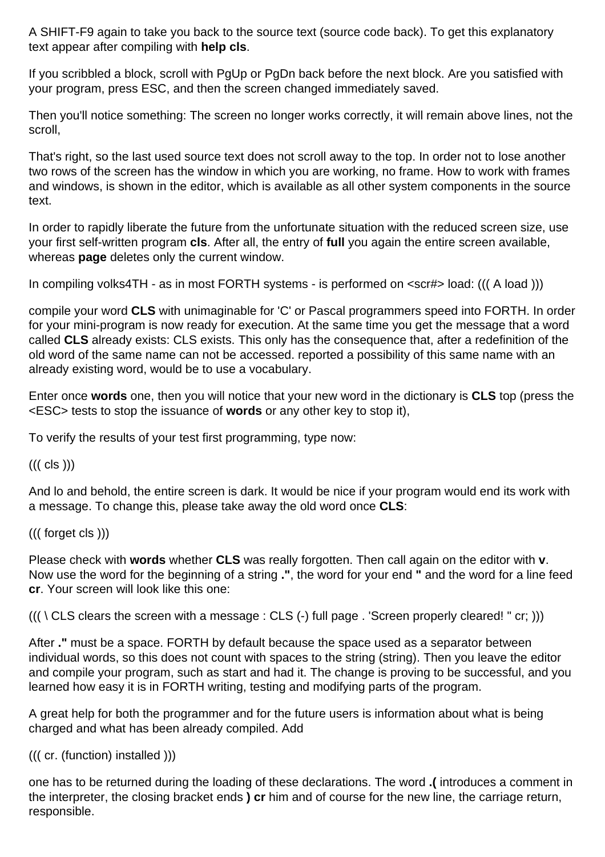A SHIFT-F9 again to take you back to the source text (source code back). To get this explanatory text appear after compiling with **help cls**.

If you scribbled a block, scroll with PgUp or PgDn back before the next block. Are you satisfied with your program, press ESC, and then the screen changed immediately saved.

Then you'll notice something: The screen no longer works correctly, it will remain above lines, not the scroll,

That's right, so the last used source text does not scroll away to the top. In order not to lose another two rows of the screen has the window in which you are working, no frame. How to work with frames and windows, is shown in the editor, which is available as all other system components in the source text.

In order to rapidly liberate the future from the unfortunate situation with the reduced screen size, use your first self-written program **cls**. After all, the entry of **full** you again the entire screen available, whereas **page** deletes only the current window.

In compiling volks4TH - as in most FORTH systems - is performed on <scr#> load: (((A load )))

compile your word **CLS** with unimaginable for 'C' or Pascal programmers speed into FORTH. In order for your mini-program is now ready for execution. At the same time you get the message that a word called **CLS** already exists: CLS exists. This only has the consequence that, after a redefinition of the old word of the same name can not be accessed. reported a possibility of this same name with an already existing word, would be to use a vocabulary.

Enter once **words** one, then you will notice that your new word in the dictionary is **CLS** top (press the <ESC> tests to stop the issuance of **words** or any other key to stop it),

To verify the results of your test first programming, type now:

 $(( ( \text{cls })))$ 

And lo and behold, the entire screen is dark. It would be nice if your program would end its work with a message. To change this, please take away the old word once **CLS**:

((( forget cls )))

Please check with **words** whether **CLS** was really forgotten. Then call again on the editor with **v**. Now use the word for the beginning of a string **."**, the word for your end **"** and the word for a line feed **cr**. Your screen will look like this one:

 $((\langle \angle CLS \rangle \text{ class})$  creen with a message : CLS (-) full page. 'Screen properly cleared! " cr; )))

After **."** must be a space. FORTH by default because the space used as a separator between individual words, so this does not count with spaces to the string (string). Then you leave the editor and compile your program, such as start and had it. The change is proving to be successful, and you learned how easy it is in FORTH writing, testing and modifying parts of the program.

A great help for both the programmer and for the future users is information about what is being charged and what has been already compiled. Add

((( cr. (function) installed )))

one has to be returned during the loading of these declarations. The word **.(** introduces a comment in the interpreter, the closing bracket ends **) cr** him and of course for the new line, the carriage return, responsible.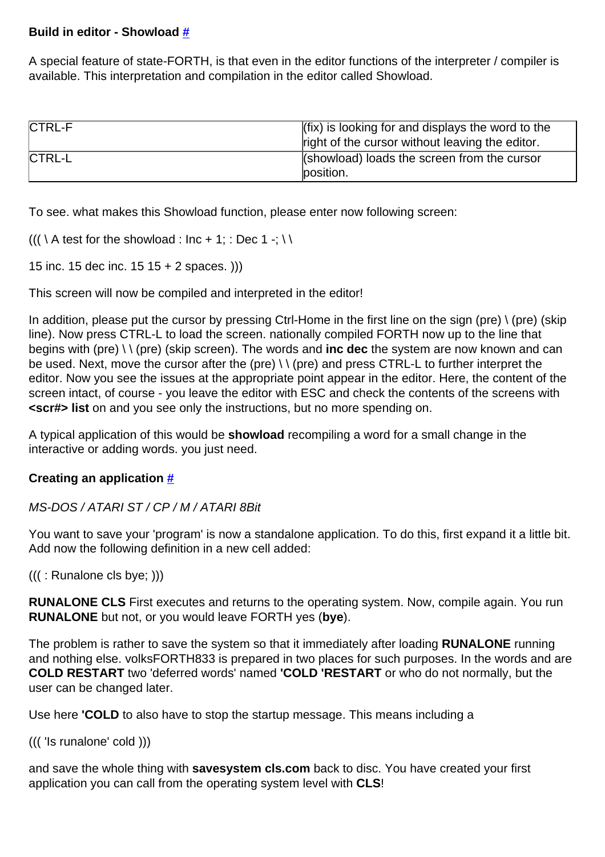### **Build in editor - Showload [#](http://[fd00::119]:8080/wiki/#section-VFHandbookChapter2-BuildInEditorShowload)**

A special feature of state-FORTH, is that even in the editor functions of the interpreter / compiler is available. This interpretation and compilation in the editor called Showload.

| <b>CTRL-F</b> | $f(x)$ is looking for and displays the word to the |
|---------------|----------------------------------------------------|
|               | right of the cursor without leaving the editor.    |
| <b>CTRL-L</b> | (showload) loads the screen from the cursor        |
|               | position.                                          |

To see. what makes this Showload function, please enter now following screen:

 $((\langle \setminus A \text{ test for the should } : \text{Inc} + 1, : \text{Dec } 1 - \rangle)$ 

15 inc. 15 dec inc. 15 15 + 2 spaces. )))

This screen will now be compiled and interpreted in the editor!

In addition, please put the cursor by pressing Ctrl-Home in the first line on the sign (pre)  $\langle$  (pre) (skip line). Now press CTRL-L to load the screen. nationally compiled FORTH now up to the line that begins with (pre) \ \ (pre) (skip screen). The words and **inc dec** the system are now known and can be used. Next, move the cursor after the (pre)  $\wedge \wedge$  (pre) and press CTRL-L to further interpret the editor. Now you see the issues at the appropriate point appear in the editor. Here, the content of the screen intact, of course - you leave the editor with ESC and check the contents of the screens with **<scr#> list** on and you see only the instructions, but no more spending on.

A typical application of this would be **showload** recompiling a word for a small change in the interactive or adding words. you just need.

### **Creating an application [#](http://[fd00::119]:8080/wiki/#section-VFHandbookChapter2-CreatingAnApplication)**

MS-DOS / ATARI ST / CP / M / ATARI 8Bit

You want to save your 'program' is now a standalone application. To do this, first expand it a little bit. Add now the following definition in a new cell added:

((( : Runalone cls bye; )))

**RUNALONE CLS** First executes and returns to the operating system. Now, compile again. You run **RUNALONE** but not, or you would leave FORTH yes (**bye**).

The problem is rather to save the system so that it immediately after loading **RUNALONE** running and nothing else. volksFORTH833 is prepared in two places for such purposes. In the words and are **COLD RESTART** two 'deferred words' named **'COLD 'RESTART** or who do not normally, but the user can be changed later.

Use here **'COLD** to also have to stop the startup message. This means including a

```
((( 'Is runalone' cold )))
```
and save the whole thing with **savesystem cls.com** back to disc. You have created your first application you can call from the operating system level with **CLS**!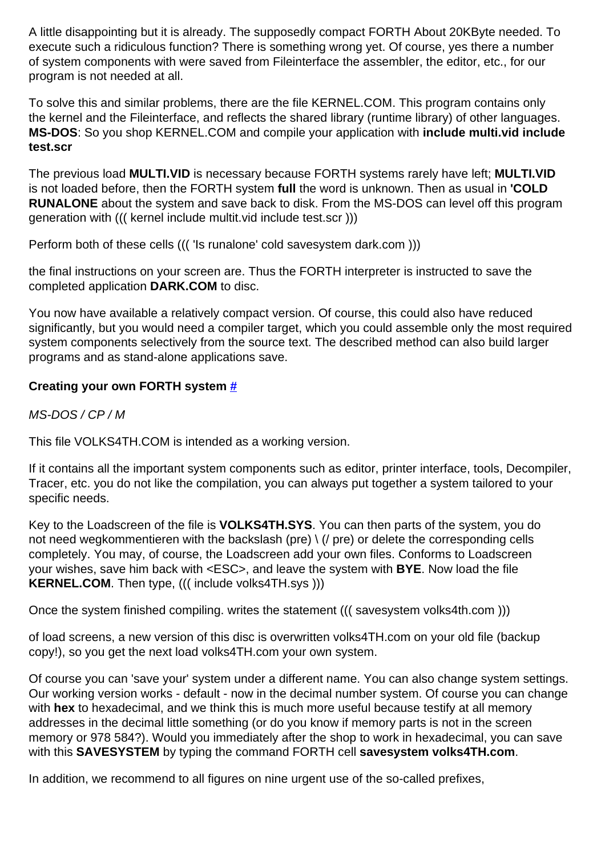A little disappointing but it is already. The supposedly compact FORTH About 20KByte needed. To execute such a ridiculous function? There is something wrong yet. Of course, yes there a number of system components with were saved from Fileinterface the assembler, the editor, etc., for our program is not needed at all.

To solve this and similar problems, there are the file KERNEL.COM. This program contains only the kernel and the Fileinterface, and reflects the shared library (runtime library) of other languages. **MS-DOS**: So you shop KERNEL.COM and compile your application with **include multi.vid include test.scr**

The previous load **MULTI.VID** is necessary because FORTH systems rarely have left; **MULTI.VID** is not loaded before, then the FORTH system **full** the word is unknown. Then as usual in **'COLD RUNALONE** about the system and save back to disk. From the MS-DOS can level off this program generation with ((( kernel include multit.vid include test.scr )))

Perform both of these cells ((( 'Is runalone' cold savesystem dark.com )))

the final instructions on your screen are. Thus the FORTH interpreter is instructed to save the completed application **DARK.COM** to disc.

You now have available a relatively compact version. Of course, this could also have reduced significantly, but you would need a compiler target, which you could assemble only the most required system components selectively from the source text. The described method can also build larger programs and as stand-alone applications save.

## **Creating your own FORTH system [#](http://[fd00::119]:8080/wiki/#section-VFHandbookChapter2-CreatingYourOwnFORTHSystem)**

MS-DOS / CP / M

This file VOLKS4TH.COM is intended as a working version.

If it contains all the important system components such as editor, printer interface, tools, Decompiler, Tracer, etc. you do not like the compilation, you can always put together a system tailored to your specific needs.

Key to the Loadscreen of the file is **VOLKS4TH.SYS**. You can then parts of the system, you do not need wegkommentieren with the backslash (pre) \ (/ pre) or delete the corresponding cells completely. You may, of course, the Loadscreen add your own files. Conforms to Loadscreen your wishes, save him back with <ESC>, and leave the system with **BYE**. Now load the file **KERNEL.COM**. Then type, ((( include volks4TH.sys )))

Once the system finished compiling. writes the statement ((( savesystem volks4th.com )))

of load screens, a new version of this disc is overwritten volks4TH.com on your old file (backup copy!), so you get the next load volks4TH.com your own system.

Of course you can 'save your' system under a different name. You can also change system settings. Our working version works - default - now in the decimal number system. Of course you can change with **hex** to hexadecimal, and we think this is much more useful because testify at all memory addresses in the decimal little something (or do you know if memory parts is not in the screen memory or 978 584?). Would you immediately after the shop to work in hexadecimal, you can save with this **SAVESYSTEM** by typing the command FORTH cell **savesystem volks4TH.com**.

In addition, we recommend to all figures on nine urgent use of the so-called prefixes,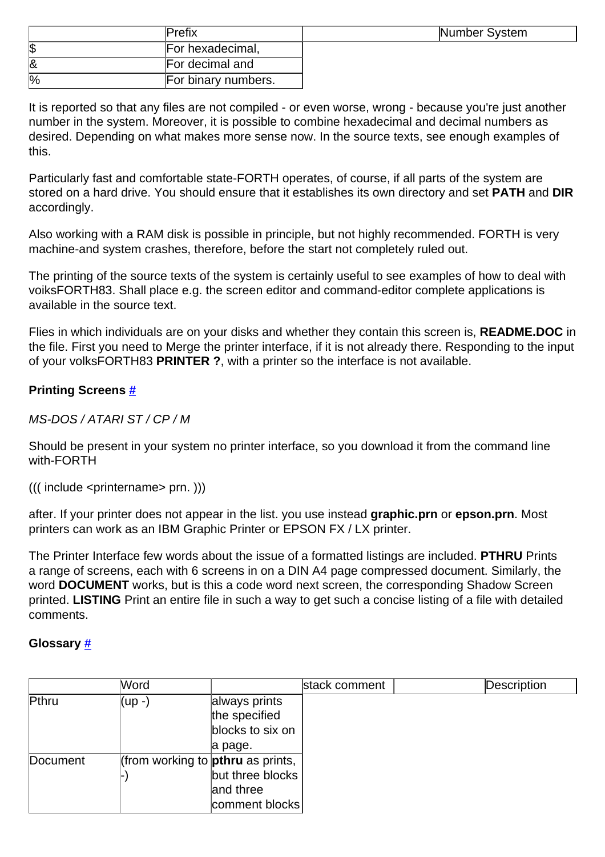|               | Prefix              | Number System |
|---------------|---------------------|---------------|
| $ \$\$        | For hexadecimal,    |               |
| 8             | For decimal and     |               |
| $\frac{9}{6}$ | For binary numbers. |               |

It is reported so that any files are not compiled - or even worse, wrong - because you're just another number in the system. Moreover, it is possible to combine hexadecimal and decimal numbers as desired. Depending on what makes more sense now. In the source texts, see enough examples of this.

Particularly fast and comfortable state-FORTH operates, of course, if all parts of the system are stored on a hard drive. You should ensure that it establishes its own directory and set **PATH** and **DIR** accordingly.

Also working with a RAM disk is possible in principle, but not highly recommended. FORTH is very machine-and system crashes, therefore, before the start not completely ruled out.

The printing of the source texts of the system is certainly useful to see examples of how to deal with voiksFORTH83. Shall place e.g. the screen editor and command-editor complete applications is available in the source text.

Flies in which individuals are on your disks and whether they contain this screen is, **README.DOC** in the file. First you need to Merge the printer interface, if it is not already there. Responding to the input of your volksFORTH83 **PRINTER ?**, with a printer so the interface is not available.

# **Printing Screens [#](http://[fd00::119]:8080/wiki/#section-VFHandbookChapter2-PrintingScreens)**

# MS-DOS / ATARI ST / CP / M

Should be present in your system no printer interface, so you download it from the command line with-FORTH

((( include <printername> prn. )))

after. If your printer does not appear in the list. you use instead **graphic.prn** or **epson.prn**. Most printers can work as an IBM Graphic Printer or EPSON FX / LX printer.

The Printer Interface few words about the issue of a formatted listings are included. **PTHRU** Prints a range of screens, each with 6 screens in on a DIN A4 page compressed document. Similarly, the word **DOCUMENT** works, but is this a code word next screen, the corresponding Shadow Screen printed. **LISTING** Print an entire file in such a way to get such a concise listing of a file with detailed comments.

### **Glossary [#](http://[fd00::119]:8080/wiki/#section-VFHandbookChapter2-Glossary)**

|          | Word   |                                          | stack comment | Description |
|----------|--------|------------------------------------------|---------------|-------------|
| Pthru    | (up -) | always prints                            |               |             |
|          |        | the specified                            |               |             |
|          |        | blocks to six on                         |               |             |
|          |        | a page.                                  |               |             |
| Document |        | (from working to <b>pthru</b> as prints, |               |             |
|          |        | but three blocks                         |               |             |
|          |        | and three                                |               |             |
|          |        | comment blocks                           |               |             |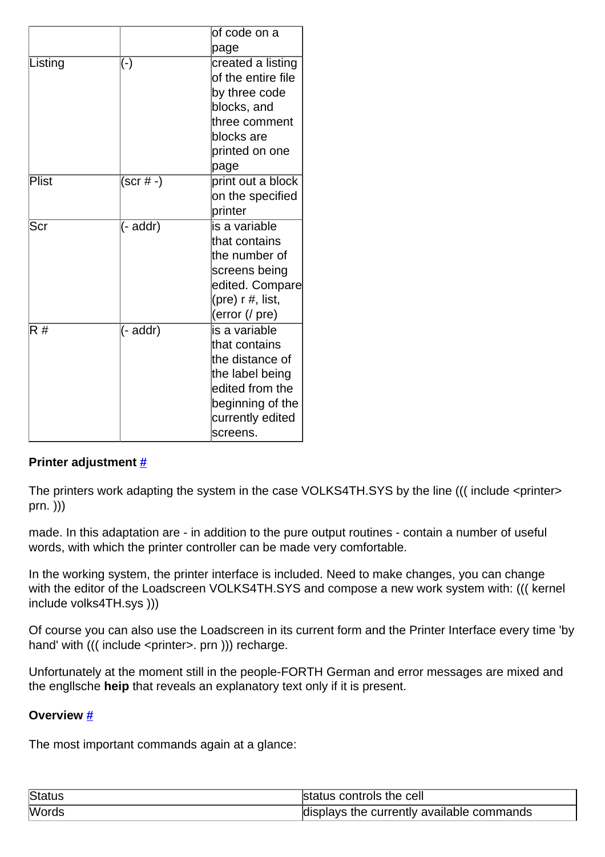|         |                    | of code on a<br>page                                                                                                                          |
|---------|--------------------|-----------------------------------------------------------------------------------------------------------------------------------------------|
| Listing | $(\textnormal{-})$ | created a listing<br>of the entire file<br>by three code<br>blocks, and<br>three comment<br>blocks are<br>printed on one<br>page              |
| Plist   | $(scr # -)$        | print out a block<br>on the specified<br>printer                                                                                              |
| Scr     | $(-$ addr $)$      | lis a variable<br>that contains<br>the number of<br>screens being<br>edited. Compare<br>(pre) $r \#$ , list,<br>(error (/ pre)                |
| R#      | (- addr)           | lis a variable<br>that contains<br>the distance of<br>the label being<br>ledited from the<br>beginning of the<br>currently edited<br>screens. |

### **Printer adjustment [#](http://[fd00::119]:8080/wiki/#section-VFHandbookChapter2-PrinterAdjustment)**

The printers work adapting the system in the case VOLKS4TH.SYS by the line (((include <printer> prn. )))

made. In this adaptation are - in addition to the pure output routines - contain a number of useful words, with which the printer controller can be made very comfortable.

In the working system, the printer interface is included. Need to make changes, you can change with the editor of the Loadscreen VOLKS4TH.SYS and compose a new work system with: ((( kernel include volks4TH.sys )))

Of course you can also use the Loadscreen in its current form and the Printer Interface every time 'by hand' with ((( include <printer>. prn ))) recharge.

Unfortunately at the moment still in the people-FORTH German and error messages are mixed and the engllsche **heip** that reveals an explanatory text only if it is present.

#### **Overview [#](http://[fd00::119]:8080/wiki/#section-VFHandbookChapter2-Overview)**

The most important commands again at a glance:

| Status       | status controls the cell                  |
|--------------|-------------------------------------------|
| <b>Words</b> | displays the currently available commands |